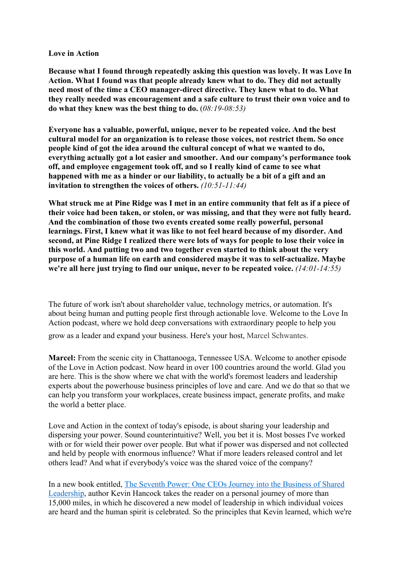## **Love in Action**

**Because what I found through repeatedly asking this question was lovely. It was Love In Action. What I found was that people already knew what to do. They did not actually need most of the time a CEO manager-direct directive. They knew what to do. What they really needed was encouragement and a safe culture to trust their own voice and to do what they knew was the best thing to do.** (*08:19-08:53)*

**Everyone has a valuable, powerful, unique, never to be repeated voice. And the best cultural model for an organization is to release those voices, not restrict them. So once people kind of got the idea around the cultural concept of what we wanted to do, everything actually got a lot easier and smoother. And our company's performance took off, and employee engagement took off, and so I really kind of came to see what happened with me as a hinder or our liability, to actually be a bit of a gift and an invitation to strengthen the voices of others.** *(10:51-11:44)*

**What struck me at Pine Ridge was I met in an entire community that felt as if a piece of their voice had been taken, or stolen, or was missing, and that they were not fully heard. And the combination of those two events created some really powerful, personal learnings. First, I knew what it was like to not feel heard because of my disorder. And second, at Pine Ridge I realized there were lots of ways for people to lose their voice in this world. And putting two and two together even started to think about the very purpose of a human life on earth and considered maybe it was to self-actualize. Maybe we're all here just trying to find our unique, never to be repeated voice.** *(14:01-14:55)*

The future of work isn't about shareholder value, technology metrics, or automation. It's about being human and putting people first through actionable love. Welcome to the Love In Action podcast, where we hold deep conversations with extraordinary people to help you grow as a leader and expand your business. Here's your host, Marcel Schwantes.

**Marcel:** From the scenic city in Chattanooga, Tennessee USA. Welcome to another episode of the Love in Action podcast. Now heard in over 100 countries around the world. Glad you are here. This is the show where we chat with the world's foremost leaders and leadership experts about the powerhouse business principles of love and care. And we do that so that we can help you transform your workplaces, create business impact, generate profits, and make the world a better place.

Love and Action in the context of today's episode, is about sharing your leadership and dispersing your power. Sound counterintuitive? Well, you bet it is. Most bosses I've worked with or for wield their power over people. But what if power was dispersed and not collected and held by people with enormous influence? What if more leaders released control and let others lead? And what if everybody's voice was the shared voice of the company?

In a new book entitled, The Seventh Power: One CEOs Journey into the Business of Shared Leadership, author Kevin Hancock takes the reader on a personal journey of more than 15,000 miles, in which he discovered a new model of leadership in which individual voices are heard and the human spirit is celebrated. So the principles that Kevin learned, which we're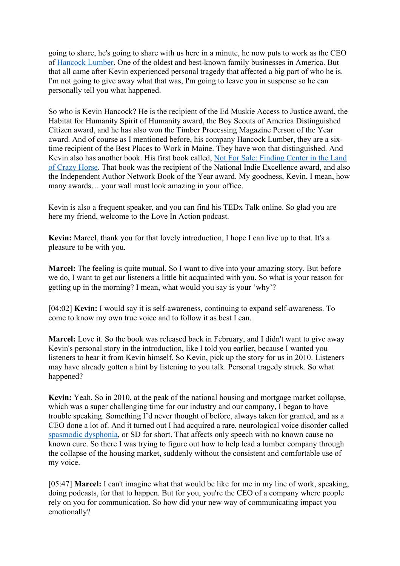going to share, he's going to share with us here in a minute, he now puts to work as the CEO of Hancock Lumber. One of the oldest and best-known family businesses in America. But that all came after Kevin experienced personal tragedy that affected a big part of who he is. I'm not going to give away what that was, I'm going to leave you in suspense so he can personally tell you what happened.

So who is Kevin Hancock? He is the recipient of the Ed Muskie Access to Justice award, the Habitat for Humanity Spirit of Humanity award, the Boy Scouts of America Distinguished Citizen award, and he has also won the Timber Processing Magazine Person of the Year award. And of course as I mentioned before, his company Hancock Lumber, they are a sixtime recipient of the Best Places to Work in Maine. They have won that distinguished. And Kevin also has another book. His first book called, Not For Sale: Finding Center in the Land of Crazy Horse. That book was the recipient of the National Indie Excellence award, and also the Independent Author Network Book of the Year award. My goodness, Kevin, I mean, how many awards… your wall must look amazing in your office.

Kevin is also a frequent speaker, and you can find his TEDx Talk online. So glad you are here my friend, welcome to the Love In Action podcast.

**Kevin:** Marcel, thank you for that lovely introduction, I hope I can live up to that. It's a pleasure to be with you.

**Marcel:** The feeling is quite mutual. So I want to dive into your amazing story. But before we do, I want to get our listeners a little bit acquainted with you. So what is your reason for getting up in the morning? I mean, what would you say is your 'why'?

[04:02] **Kevin:** I would say it is self-awareness, continuing to expand self-awareness. To come to know my own true voice and to follow it as best I can.

**Marcel:** Love it. So the book was released back in February, and I didn't want to give away Kevin's personal story in the introduction, like I told you earlier, because I wanted you listeners to hear it from Kevin himself. So Kevin, pick up the story for us in 2010. Listeners may have already gotten a hint by listening to you talk. Personal tragedy struck. So what happened?

**Kevin:** Yeah. So in 2010, at the peak of the national housing and mortgage market collapse, which was a super challenging time for our industry and our company, I began to have trouble speaking. Something I'd never thought of before, always taken for granted, and as a CEO done a lot of. And it turned out I had acquired a rare, neurological voice disorder called spasmodic dysphonia, or SD for short. That affects only speech with no known cause no known cure. So there I was trying to figure out how to help lead a lumber company through the collapse of the housing market, suddenly without the consistent and comfortable use of my voice.

[05:47] **Marcel:** I can't imagine what that would be like for me in my line of work, speaking, doing podcasts, for that to happen. But for you, you're the CEO of a company where people rely on you for communication. So how did your new way of communicating impact you emotionally?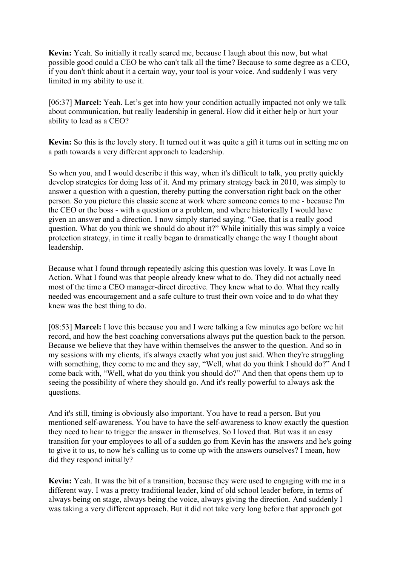**Kevin:** Yeah. So initially it really scared me, because I laugh about this now, but what possible good could a CEO be who can't talk all the time? Because to some degree as a CEO, if you don't think about it a certain way, your tool is your voice. And suddenly I was very limited in my ability to use it.

[06:37] **Marcel:** Yeah. Let's get into how your condition actually impacted not only we talk about communication, but really leadership in general. How did it either help or hurt your ability to lead as a CEO?

**Kevin:** So this is the lovely story. It turned out it was quite a gift it turns out in setting me on a path towards a very different approach to leadership.

So when you, and I would describe it this way, when it's difficult to talk, you pretty quickly develop strategies for doing less of it. And my primary strategy back in 2010, was simply to answer a question with a question, thereby putting the conversation right back on the other person. So you picture this classic scene at work where someone comes to me - because I'm the CEO or the boss - with a question or a problem, and where historically I would have given an answer and a direction. I now simply started saying. "Gee, that is a really good question. What do you think we should do about it?" While initially this was simply a voice protection strategy, in time it really began to dramatically change the way I thought about leadership.

Because what I found through repeatedly asking this question was lovely. It was Love In Action. What I found was that people already knew what to do. They did not actually need most of the time a CEO manager-direct directive. They knew what to do. What they really needed was encouragement and a safe culture to trust their own voice and to do what they knew was the best thing to do.

[08:53] **Marcel:** I love this because you and I were talking a few minutes ago before we hit record, and how the best coaching conversations always put the question back to the person. Because we believe that they have within themselves the answer to the question. And so in my sessions with my clients, it's always exactly what you just said. When they're struggling with something, they come to me and they say, "Well, what do you think I should do?" And I come back with, "Well, what do you think you should do?" And then that opens them up to seeing the possibility of where they should go. And it's really powerful to always ask the questions.

And it's still, timing is obviously also important. You have to read a person. But you mentioned self-awareness. You have to have the self-awareness to know exactly the question they need to hear to trigger the answer in themselves. So I loved that. But was it an easy transition for your employees to all of a sudden go from Kevin has the answers and he's going to give it to us, to now he's calling us to come up with the answers ourselves? I mean, how did they respond initially?

**Kevin:** Yeah. It was the bit of a transition, because they were used to engaging with me in a different way. I was a pretty traditional leader, kind of old school leader before, in terms of always being on stage, always being the voice, always giving the direction. And suddenly I was taking a very different approach. But it did not take very long before that approach got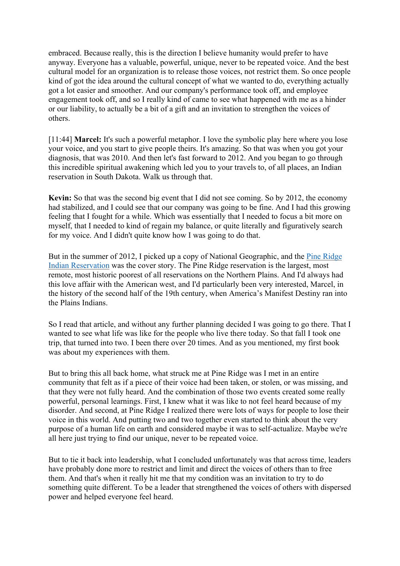embraced. Because really, this is the direction I believe humanity would prefer to have anyway. Everyone has a valuable, powerful, unique, never to be repeated voice. And the best cultural model for an organization is to release those voices, not restrict them. So once people kind of got the idea around the cultural concept of what we wanted to do, everything actually got a lot easier and smoother. And our company's performance took off, and employee engagement took off, and so I really kind of came to see what happened with me as a hinder or our liability, to actually be a bit of a gift and an invitation to strengthen the voices of others.

[11:44] **Marcel:** It's such a powerful metaphor. I love the symbolic play here where you lose your voice, and you start to give people theirs. It's amazing. So that was when you got your diagnosis, that was 2010. And then let's fast forward to 2012. And you began to go through this incredible spiritual awakening which led you to your travels to, of all places, an Indian reservation in South Dakota. Walk us through that.

**Kevin:** So that was the second big event that I did not see coming. So by 2012, the economy had stabilized, and I could see that our company was going to be fine. And I had this growing feeling that I fought for a while. Which was essentially that I needed to focus a bit more on myself, that I needed to kind of regain my balance, or quite literally and figuratively search for my voice. And I didn't quite know how I was going to do that.

But in the summer of 2012, I picked up a copy of National Geographic, and the Pine Ridge Indian Reservation was the cover story. The Pine Ridge reservation is the largest, most remote, most historic poorest of all reservations on the Northern Plains. And I'd always had this love affair with the American west, and I'd particularly been very interested, Marcel, in the history of the second half of the 19th century, when America's Manifest Destiny ran into the Plains Indians.

So I read that article, and without any further planning decided I was going to go there. That I wanted to see what life was like for the people who live there today. So that fall I took one trip, that turned into two. I been there over 20 times. And as you mentioned, my first book was about my experiences with them.

But to bring this all back home, what struck me at Pine Ridge was I met in an entire community that felt as if a piece of their voice had been taken, or stolen, or was missing, and that they were not fully heard. And the combination of those two events created some really powerful, personal learnings. First, I knew what it was like to not feel heard because of my disorder. And second, at Pine Ridge I realized there were lots of ways for people to lose their voice in this world. And putting two and two together even started to think about the very purpose of a human life on earth and considered maybe it was to self-actualize. Maybe we're all here just trying to find our unique, never to be repeated voice.

But to tie it back into leadership, what I concluded unfortunately was that across time, leaders have probably done more to restrict and limit and direct the voices of others than to free them. And that's when it really hit me that my condition was an invitation to try to do something quite different. To be a leader that strengthened the voices of others with dispersed power and helped everyone feel heard.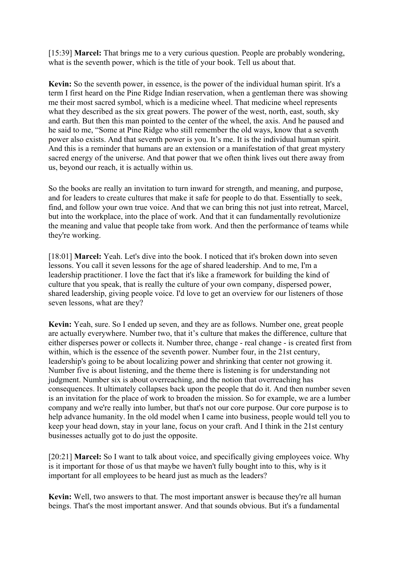[15:39] **Marcel:** That brings me to a very curious question. People are probably wondering, what is the seventh power, which is the title of your book. Tell us about that.

**Kevin:** So the seventh power, in essence, is the power of the individual human spirit. It's a term I first heard on the Pine Ridge Indian reservation, when a gentleman there was showing me their most sacred symbol, which is a medicine wheel. That medicine wheel represents what they described as the six great powers. The power of the west, north, east, south, sky and earth. But then this man pointed to the center of the wheel, the axis. And he paused and he said to me, "Some at Pine Ridge who still remember the old ways, know that a seventh power also exists. And that seventh power is you. It's me. It is the individual human spirit. And this is a reminder that humans are an extension or a manifestation of that great mystery sacred energy of the universe. And that power that we often think lives out there away from us, beyond our reach, it is actually within us.

So the books are really an invitation to turn inward for strength, and meaning, and purpose, and for leaders to create cultures that make it safe for people to do that. Essentially to seek, find, and follow your own true voice. And that we can bring this not just into retreat, Marcel, but into the workplace, into the place of work. And that it can fundamentally revolutionize the meaning and value that people take from work. And then the performance of teams while they're working.

[18:01] **Marcel:** Yeah. Let's dive into the book. I noticed that it's broken down into seven lessons. You call it seven lessons for the age of shared leadership. And to me, I'm a leadership practitioner. I love the fact that it's like a framework for building the kind of culture that you speak, that is really the culture of your own company, dispersed power, shared leadership, giving people voice. I'd love to get an overview for our listeners of those seven lessons, what are they?

**Kevin:** Yeah, sure. So I ended up seven, and they are as follows. Number one, great people are actually everywhere. Number two, that it's culture that makes the difference, culture that either disperses power or collects it. Number three, change - real change - is created first from within, which is the essence of the seventh power. Number four, in the 21st century, leadership's going to be about localizing power and shrinking that center not growing it. Number five is about listening, and the theme there is listening is for understanding not judgment. Number six is about overreaching, and the notion that overreaching has consequences. It ultimately collapses back upon the people that do it. And then number seven is an invitation for the place of work to broaden the mission. So for example, we are a lumber company and we're really into lumber, but that's not our core purpose. Our core purpose is to help advance humanity. In the old model when I came into business, people would tell you to keep your head down, stay in your lane, focus on your craft. And I think in the 21st century businesses actually got to do just the opposite.

[20:21] **Marcel:** So I want to talk about voice, and specifically giving employees voice. Why is it important for those of us that maybe we haven't fully bought into to this, why is it important for all employees to be heard just as much as the leaders?

**Kevin:** Well, two answers to that. The most important answer is because they're all human beings. That's the most important answer. And that sounds obvious. But it's a fundamental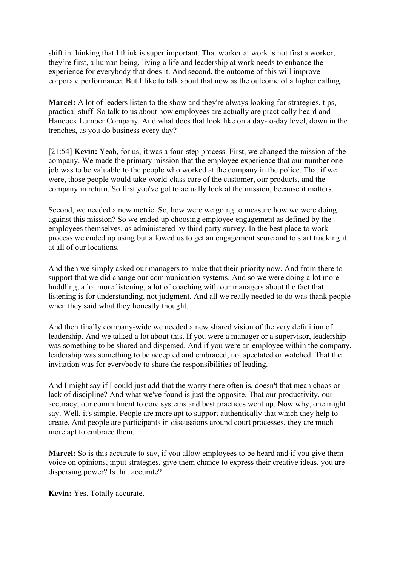shift in thinking that I think is super important. That worker at work is not first a worker, they're first, a human being, living a life and leadership at work needs to enhance the experience for everybody that does it. And second, the outcome of this will improve corporate performance. But I like to talk about that now as the outcome of a higher calling.

**Marcel:** A lot of leaders listen to the show and they're always looking for strategies, tips, practical stuff. So talk to us about how employees are actually are practically heard and Hancock Lumber Company. And what does that look like on a day-to-day level, down in the trenches, as you do business every day?

[21:54] **Kevin:** Yeah, for us, it was a four-step process. First, we changed the mission of the company. We made the primary mission that the employee experience that our number one job was to be valuable to the people who worked at the company in the police. That if we were, those people would take world-class care of the customer, our products, and the company in return. So first you've got to actually look at the mission, because it matters.

Second, we needed a new metric. So, how were we going to measure how we were doing against this mission? So we ended up choosing employee engagement as defined by the employees themselves, as administered by third party survey. In the best place to work process we ended up using but allowed us to get an engagement score and to start tracking it at all of our locations.

And then we simply asked our managers to make that their priority now. And from there to support that we did change our communication systems. And so we were doing a lot more huddling, a lot more listening, a lot of coaching with our managers about the fact that listening is for understanding, not judgment. And all we really needed to do was thank people when they said what they honestly thought.

And then finally company-wide we needed a new shared vision of the very definition of leadership. And we talked a lot about this. If you were a manager or a supervisor, leadership was something to be shared and dispersed. And if you were an employee within the company, leadership was something to be accepted and embraced, not spectated or watched. That the invitation was for everybody to share the responsibilities of leading.

And I might say if I could just add that the worry there often is, doesn't that mean chaos or lack of discipline? And what we've found is just the opposite. That our productivity, our accuracy, our commitment to core systems and best practices went up. Now why, one might say. Well, it's simple. People are more apt to support authentically that which they help to create. And people are participants in discussions around court processes, they are much more apt to embrace them.

**Marcel:** So is this accurate to say, if you allow employees to be heard and if you give them voice on opinions, input strategies, give them chance to express their creative ideas, you are dispersing power? Is that accurate?

**Kevin:** Yes. Totally accurate.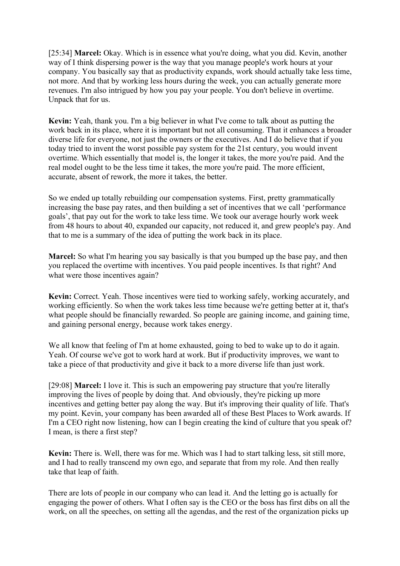[25:34] **Marcel:** Okay. Which is in essence what you're doing, what you did. Kevin, another way of I think dispersing power is the way that you manage people's work hours at your company. You basically say that as productivity expands, work should actually take less time, not more. And that by working less hours during the week, you can actually generate more revenues. I'm also intrigued by how you pay your people. You don't believe in overtime. Unpack that for us.

**Kevin:** Yeah, thank you. I'm a big believer in what I've come to talk about as putting the work back in its place, where it is important but not all consuming. That it enhances a broader diverse life for everyone, not just the owners or the executives. And I do believe that if you today tried to invent the worst possible pay system for the 21st century, you would invent overtime. Which essentially that model is, the longer it takes, the more you're paid. And the real model ought to be the less time it takes, the more you're paid. The more efficient, accurate, absent of rework, the more it takes, the better.

So we ended up totally rebuilding our compensation systems. First, pretty grammatically increasing the base pay rates, and then building a set of incentives that we call 'performance goals', that pay out for the work to take less time. We took our average hourly work week from 48 hours to about 40, expanded our capacity, not reduced it, and grew people's pay. And that to me is a summary of the idea of putting the work back in its place.

**Marcel:** So what I'm hearing you say basically is that you bumped up the base pay, and then you replaced the overtime with incentives. You paid people incentives. Is that right? And what were those incentives again?

**Kevin:** Correct. Yeah. Those incentives were tied to working safely, working accurately, and working efficiently. So when the work takes less time because we're getting better at it, that's what people should be financially rewarded. So people are gaining income, and gaining time, and gaining personal energy, because work takes energy.

We all know that feeling of I'm at home exhausted, going to bed to wake up to do it again. Yeah. Of course we've got to work hard at work. But if productivity improves, we want to take a piece of that productivity and give it back to a more diverse life than just work.

[29:08] **Marcel:** I love it. This is such an empowering pay structure that you're literally improving the lives of people by doing that. And obviously, they're picking up more incentives and getting better pay along the way. But it's improving their quality of life. That's my point. Kevin, your company has been awarded all of these Best Places to Work awards. If I'm a CEO right now listening, how can I begin creating the kind of culture that you speak of? I mean, is there a first step?

**Kevin:** There is. Well, there was for me. Which was I had to start talking less, sit still more, and I had to really transcend my own ego, and separate that from my role. And then really take that leap of faith.

There are lots of people in our company who can lead it. And the letting go is actually for engaging the power of others. What I often say is the CEO or the boss has first dibs on all the work, on all the speeches, on setting all the agendas, and the rest of the organization picks up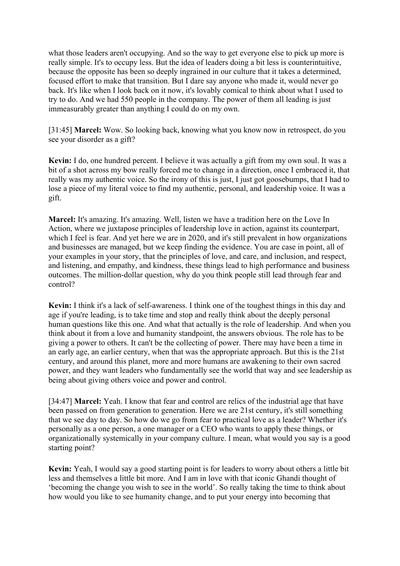what those leaders aren't occupying. And so the way to get everyone else to pick up more is really simple. It's to occupy less. But the idea of leaders doing a bit less is counterintuitive, because the opposite has been so deeply ingrained in our culture that it takes a determined, focused effort to make that transition. But I dare say anyone who made it, would never go back. It's like when I look back on it now, it's lovably comical to think about what I used to try to do. And we had 550 people in the company. The power of them all leading is just immeasurably greater than anything I could do on my own.

[31:45] **Marcel:** Wow. So looking back, knowing what you know now in retrospect, do you see your disorder as a gift?

**Kevin:** I do, one hundred percent. I believe it was actually a gift from my own soul. It was a bit of a shot across my bow really forced me to change in a direction, once I embraced it, that really was my authentic voice. So the irony of this is just, I just got goosebumps, that I had to lose a piece of my literal voice to find my authentic, personal, and leadership voice. It was a gift.

**Marcel:** It's amazing. It's amazing. Well, listen we have a tradition here on the Love In Action, where we juxtapose principles of leadership love in action, against its counterpart, which I feel is fear. And yet here we are in 2020, and it's still prevalent in how organizations and businesses are managed, but we keep finding the evidence. You are case in point, all of your examples in your story, that the principles of love, and care, and inclusion, and respect, and listening, and empathy, and kindness, these things lead to high performance and business outcomes. The million-dollar question, why do you think people still lead through fear and control?

**Kevin:** I think it's a lack of self-awareness. I think one of the toughest things in this day and age if you're leading, is to take time and stop and really think about the deeply personal human questions like this one. And what that actually is the role of leadership. And when you think about it from a love and humanity standpoint, the answers obvious. The role has to be giving a power to others. It can't be the collecting of power. There may have been a time in an early age, an earlier century, when that was the appropriate approach. But this is the 21st century, and around this planet, more and more humans are awakening to their own sacred power, and they want leaders who fundamentally see the world that way and see leadership as being about giving others voice and power and control.

[34:47] **Marcel:** Yeah. I know that fear and control are relics of the industrial age that have been passed on from generation to generation. Here we are 21st century, it's still something that we see day to day. So how do we go from fear to practical love as a leader? Whether it's personally as a one person, a one manager or a CEO who wants to apply these things, or organizationally systemically in your company culture. I mean, what would you say is a good starting point?

**Kevin:** Yeah, I would say a good starting point is for leaders to worry about others a little bit less and themselves a little bit more. And I am in love with that iconic Ghandi thought of 'becoming the change you wish to see in the world'. So really taking the time to think about how would you like to see humanity change, and to put your energy into becoming that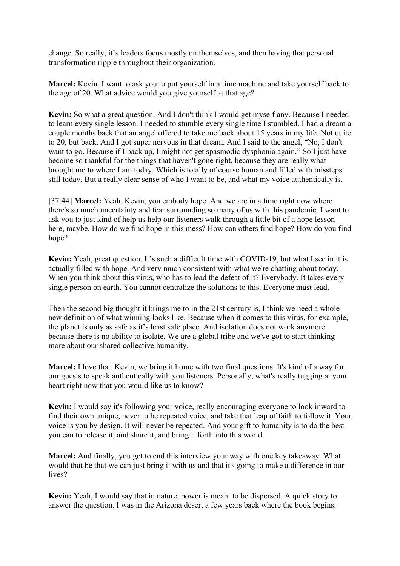change. So really, it's leaders focus mostly on themselves, and then having that personal transformation ripple throughout their organization.

**Marcel:** Kevin. I want to ask you to put yourself in a time machine and take yourself back to the age of 20. What advice would you give yourself at that age?

**Kevin:** So what a great question. And I don't think I would get myself any. Because I needed to learn every single lesson. I needed to stumble every single time I stumbled. I had a dream a couple months back that an angel offered to take me back about 15 years in my life. Not quite to 20, but back. And I got super nervous in that dream. And I said to the angel, "No, I don't want to go. Because if I back up, I might not get spasmodic dysphonia again." So I just have become so thankful for the things that haven't gone right, because they are really what brought me to where I am today. Which is totally of course human and filled with missteps still today. But a really clear sense of who I want to be, and what my voice authentically is.

[37:44] **Marcel:** Yeah. Kevin, you embody hope. And we are in a time right now where there's so much uncertainty and fear surrounding so many of us with this pandemic. I want to ask you to just kind of help us help our listeners walk through a little bit of a hope lesson here, maybe. How do we find hope in this mess? How can others find hope? How do you find hope?

**Kevin:** Yeah, great question. It's such a difficult time with COVID-19, but what I see in it is actually filled with hope. And very much consistent with what we're chatting about today. When you think about this virus, who has to lead the defeat of it? Everybody. It takes every single person on earth. You cannot centralize the solutions to this. Everyone must lead.

Then the second big thought it brings me to in the 21st century is, I think we need a whole new definition of what winning looks like. Because when it comes to this virus, for example, the planet is only as safe as it's least safe place. And isolation does not work anymore because there is no ability to isolate. We are a global tribe and we've got to start thinking more about our shared collective humanity.

**Marcel:** I love that. Kevin, we bring it home with two final questions. It's kind of a way for our guests to speak authentically with you listeners. Personally, what's really tugging at your heart right now that you would like us to know?

**Kevin:** I would say it's following your voice, really encouraging everyone to look inward to find their own unique, never to be repeated voice, and take that leap of faith to follow it. Your voice is you by design. It will never be repeated. And your gift to humanity is to do the best you can to release it, and share it, and bring it forth into this world.

**Marcel:** And finally, you get to end this interview your way with one key takeaway. What would that be that we can just bring it with us and that it's going to make a difference in our lives?

**Kevin:** Yeah, I would say that in nature, power is meant to be dispersed. A quick story to answer the question. I was in the Arizona desert a few years back where the book begins.